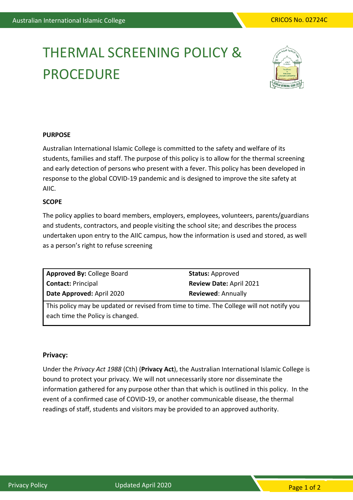# THERMAL SCREENING POLICY & **PROCEDURE**



#### **PURPOSE**

Australian International Islamic College is committed to the safety and welfare of its students, families and staff. The purpose of this policy is to allow for the thermal screening and early detection of persons who present with a fever. This policy has been developed in response to the global COVID-19 pandemic and is designed to improve the site safety at AIIC.

#### **SCOPE**

The policy applies to board members, employers, employees, volunteers, parents/guardians and students, contractors, and people visiting the school site; and describes the process undertaken upon entry to the AIIC campus, how the information is used and stored, as well as a person's right to refuse screening

| Approved By: College Board                                                               | <b>Status: Approved</b>        |
|------------------------------------------------------------------------------------------|--------------------------------|
| <b>Contact: Principal</b>                                                                | <b>Review Date: April 2021</b> |
| Date Approved: April 2020                                                                | <b>Reviewed: Annually</b>      |
| This policy may be updated or revised from time to time. The College will not notify you |                                |

each time the Policy is changed.

#### **Privacy:**

Under the *Privacy Act 1988* (Cth) (**Privacy Act**), the Australian International Islamic College is bound to protect your privacy. We will not unnecessarily store nor disseminate the information gathered for any purpose other than that which is outlined in this policy. In the event of a confirmed case of COVID-19, or another communicable disease, the thermal readings of staff, students and visitors may be provided to an approved authority.